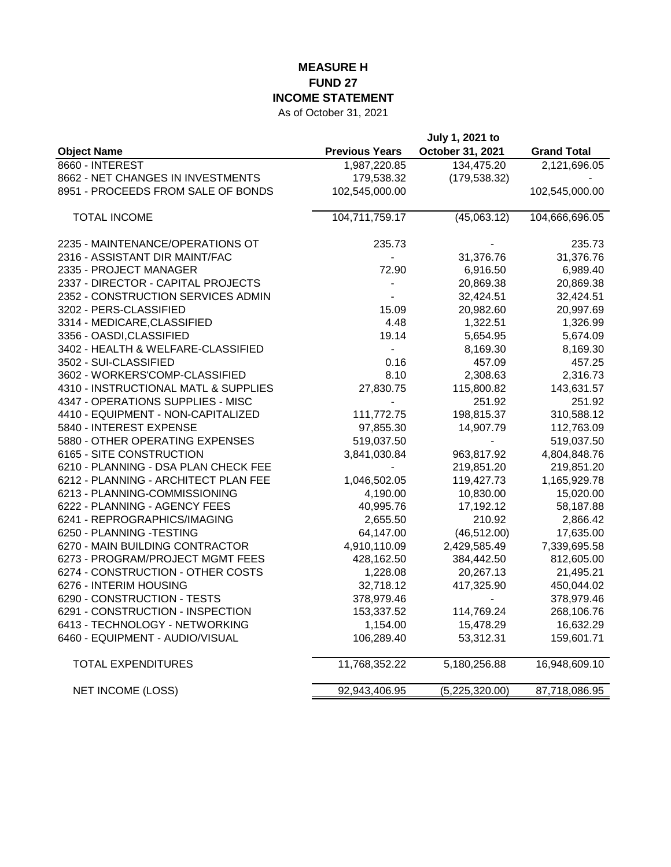## **MEASURE H FUND 27 INCOME STATEMENT**

As of October 31, 2021

|                                      |                       | July 1, 2021 to  |                    |
|--------------------------------------|-----------------------|------------------|--------------------|
| <b>Object Name</b>                   | <b>Previous Years</b> | October 31, 2021 | <b>Grand Total</b> |
| 8660 - INTEREST                      | 1,987,220.85          | 134,475.20       | 2,121,696.05       |
| 8662 - NET CHANGES IN INVESTMENTS    | 179,538.32            | (179, 538.32)    |                    |
| 8951 - PROCEEDS FROM SALE OF BONDS   | 102,545,000.00        |                  | 102,545,000.00     |
| <b>TOTAL INCOME</b>                  | 104,711,759.17        | (45,063.12)      | 104,666,696.05     |
| 2235 - MAINTENANCE/OPERATIONS OT     | 235.73                |                  | 235.73             |
| 2316 - ASSISTANT DIR MAINT/FAC       |                       | 31,376.76        | 31,376.76          |
| 2335 - PROJECT MANAGER               | 72.90                 | 6,916.50         | 6,989.40           |
| 2337 - DIRECTOR - CAPITAL PROJECTS   |                       | 20,869.38        | 20,869.38          |
| 2352 - CONSTRUCTION SERVICES ADMIN   |                       | 32,424.51        | 32,424.51          |
| 3202 - PERS-CLASSIFIED               | 15.09                 | 20,982.60        | 20,997.69          |
| 3314 - MEDICARE, CLASSIFIED          | 4.48                  | 1,322.51         | 1,326.99           |
| 3356 - OASDI, CLASSIFIED             | 19.14                 | 5,654.95         | 5,674.09           |
| 3402 - HEALTH & WELFARE-CLASSIFIED   | $\overline{a}$        | 8,169.30         | 8,169.30           |
| 3502 - SUI-CLASSIFIED                | 0.16                  | 457.09           | 457.25             |
| 3602 - WORKERS'COMP-CLASSIFIED       | 8.10                  | 2,308.63         | 2,316.73           |
| 4310 - INSTRUCTIONAL MATL & SUPPLIES | 27,830.75             | 115,800.82       | 143,631.57         |
| 4347 - OPERATIONS SUPPLIES - MISC    |                       | 251.92           | 251.92             |
| 4410 - EQUIPMENT - NON-CAPITALIZED   | 111,772.75            | 198,815.37       | 310,588.12         |
| 5840 - INTEREST EXPENSE              | 97,855.30             | 14,907.79        | 112,763.09         |
| 5880 - OTHER OPERATING EXPENSES      | 519,037.50            | $\blacksquare$   | 519,037.50         |
| 6165 - SITE CONSTRUCTION             | 3,841,030.84          | 963,817.92       | 4,804,848.76       |
| 6210 - PLANNING - DSA PLAN CHECK FEE |                       | 219,851.20       | 219,851.20         |
| 6212 - PLANNING - ARCHITECT PLAN FEE | 1,046,502.05          | 119,427.73       | 1,165,929.78       |
| 6213 - PLANNING-COMMISSIONING        | 4,190.00              | 10,830.00        | 15,020.00          |
| 6222 - PLANNING - AGENCY FEES        | 40,995.76             | 17,192.12        | 58,187.88          |
| 6241 - REPROGRAPHICS/IMAGING         | 2,655.50              | 210.92           | 2,866.42           |
| 6250 - PLANNING -TESTING             | 64,147.00             | (46, 512.00)     | 17,635.00          |
| 6270 - MAIN BUILDING CONTRACTOR      | 4,910,110.09          | 2,429,585.49     | 7,339,695.58       |
| 6273 - PROGRAM/PROJECT MGMT FEES     | 428,162.50            | 384,442.50       | 812,605.00         |
| 6274 - CONSTRUCTION - OTHER COSTS    | 1,228.08              | 20,267.13        | 21,495.21          |
| 6276 - INTERIM HOUSING               | 32,718.12             | 417,325.90       | 450,044.02         |
| 6290 - CONSTRUCTION - TESTS          | 378,979.46            |                  | 378,979.46         |
| 6291 - CONSTRUCTION - INSPECTION     | 153,337.52            | 114,769.24       | 268,106.76         |
| 6413 - TECHNOLOGY - NETWORKING       | 1,154.00              | 15,478.29        | 16,632.29          |
| 6460 - EQUIPMENT - AUDIO/VISUAL      | 106,289.40            | 53,312.31        | 159,601.71         |
| <b>TOTAL EXPENDITURES</b>            | 11,768,352.22         | 5,180,256.88     | 16,948,609.10      |
| <b>NET INCOME (LOSS)</b>             | 92,943,406.95         | (5, 225, 320.00) | 87,718,086.95      |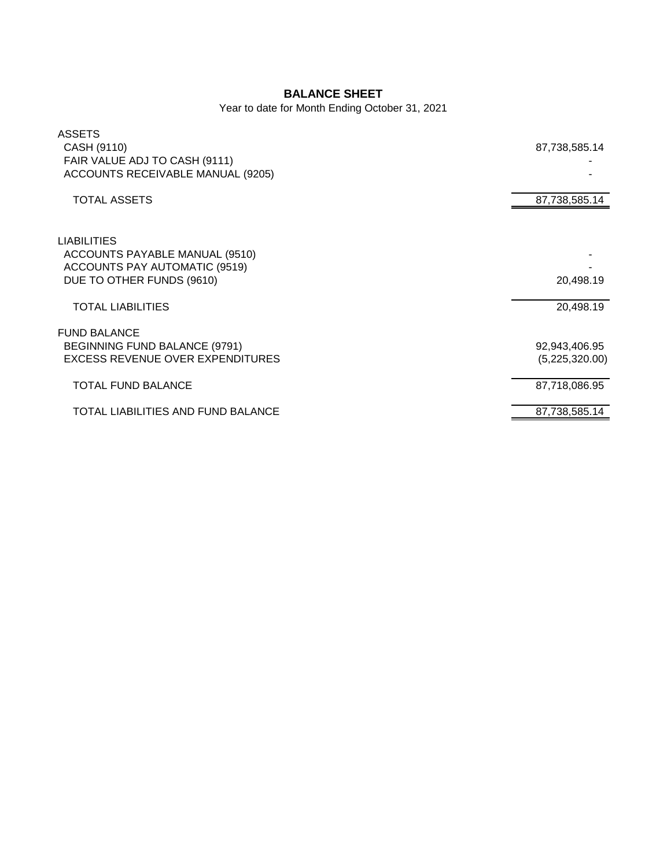## **BALANCE SHEET**

Year to date for Month Ending October 31, 2021

| <b>ASSETS</b><br>CASH (9110)<br>FAIR VALUE ADJ TO CASH (9111)<br>ACCOUNTS RECEIVABLE MANUAL (9205)                 | 87,738,585.14                   |
|--------------------------------------------------------------------------------------------------------------------|---------------------------------|
| <b>TOTAL ASSETS</b>                                                                                                | 87,738,585.14                   |
| <b>LIABILITIES</b><br>ACCOUNTS PAYABLE MANUAL (9510)<br>ACCOUNTS PAY AUTOMATIC (9519)<br>DUE TO OTHER FUNDS (9610) | 20,498.19                       |
| <b>TOTAL LIABILITIES</b>                                                                                           | 20,498.19                       |
| <b>FUND BALANCE</b><br>BEGINNING FUND BALANCE (9791)<br><b>EXCESS REVENUE OVER EXPENDITURES</b>                    | 92,943,406.95<br>(5,225,320.00) |
| <b>TOTAL FUND BALANCE</b>                                                                                          | 87,718,086.95                   |
| TOTAL LIABILITIES AND FUND BALANCE                                                                                 | 87,738,585.14                   |
|                                                                                                                    |                                 |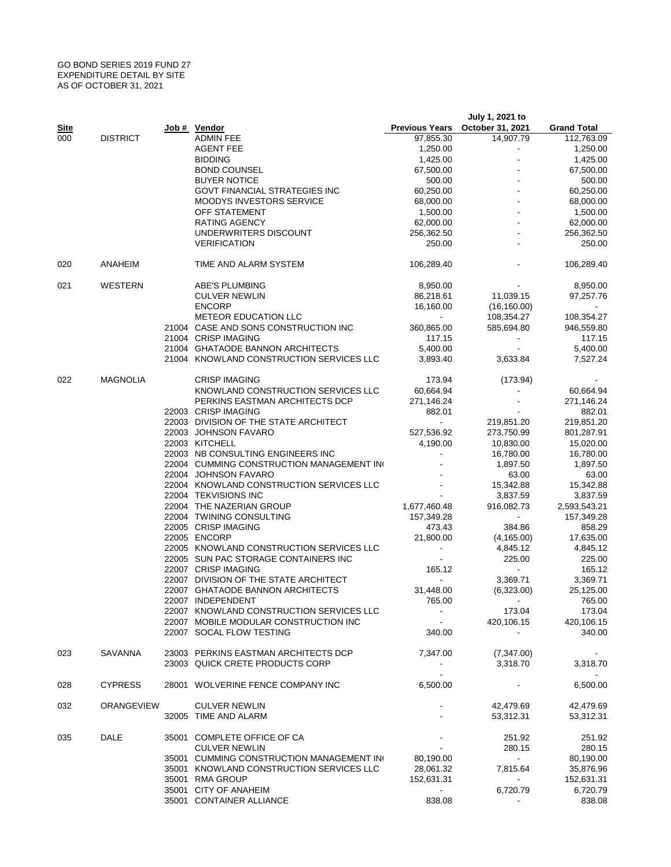## GO BOND SERIES 2019 FUND 27 EXPENDITURE DETAIL BY SITE AS OF OCTOBER 31, 2021

|             |                   |                                                                           |                          | July 1, 2021 to                 |                       |
|-------------|-------------------|---------------------------------------------------------------------------|--------------------------|---------------------------------|-----------------------|
| <u>Site</u> |                   | Job # Vendor                                                              |                          | Previous Years October 31, 2021 | <b>Grand Total</b>    |
| 000         | <b>DISTRICT</b>   | <b>ADMIN FEE</b>                                                          | 97,855.30                | 14,907.79                       | 112,763.09            |
|             |                   | <b>AGENT FEE</b>                                                          | 1,250.00                 | $\overline{\phantom{a}}$        | 1,250.00              |
|             |                   | <b>BIDDING</b>                                                            | 1,425.00                 |                                 | 1,425.00              |
|             |                   | <b>BOND COUNSEL</b>                                                       | 67,500.00                |                                 | 67,500.00             |
|             |                   | <b>BUYER NOTICE</b>                                                       | 500.00                   |                                 | 500.00                |
|             |                   | <b>GOVT FINANCIAL STRATEGIES INC</b>                                      | 60,250.00                |                                 | 60,250.00             |
|             |                   | <b>MOODYS INVESTORS SERVICE</b>                                           | 68,000.00                |                                 | 68,000.00             |
|             |                   | OFF STATEMENT<br><b>RATING AGENCY</b>                                     | 1,500.00<br>62,000.00    |                                 | 1,500.00<br>62,000.00 |
|             |                   |                                                                           | 256,362.50               |                                 |                       |
|             |                   | UNDERWRITERS DISCOUNT<br><b>VERIFICATION</b>                              | 250.00                   |                                 | 256,362.50<br>250.00  |
|             |                   |                                                                           |                          |                                 |                       |
| 020         | ANAHEIM           | TIME AND ALARM SYSTEM                                                     | 106,289.40               |                                 | 106,289.40            |
| 021         | WESTERN           | ABE'S PLUMBING                                                            | 8,950.00                 |                                 | 8,950.00              |
|             |                   | <b>CULVER NEWLIN</b>                                                      | 86,218.61                | 11,039.15                       | 97,257.76             |
|             |                   | <b>ENCORP</b>                                                             | 16,160.00                | (16, 160.00)                    | $\sim$                |
|             |                   | <b>METEOR EDUCATION LLC</b>                                               | $\blacksquare$           | 108,354.27                      | 108,354.27            |
|             |                   | 21004 CASE AND SONS CONSTRUCTION INC                                      | 360,865.00               | 585,694.80                      | 946,559.80            |
|             |                   | 21004 CRISP IMAGING                                                       | 117.15                   | $\overline{\phantom{a}}$        | 117.15                |
|             |                   | 21004 GHATAODE BANNON ARCHITECTS                                          | 5,400.00                 | $\blacksquare$                  | 5,400.00              |
|             |                   | 21004 KNOWLAND CONSTRUCTION SERVICES LLC                                  | 3,893.40                 | 3,633.84                        | 7,527.24              |
| 022         | <b>MAGNOLIA</b>   | <b>CRISP IMAGING</b>                                                      | 173.94                   | (173.94)                        |                       |
|             |                   | KNOWLAND CONSTRUCTION SERVICES LLC                                        | 60,664.94                |                                 | 60,664.94             |
|             |                   | PERKINS EASTMAN ARCHITECTS DCP                                            | 271,146.24               |                                 | 271,146.24            |
|             |                   | 22003 CRISP IMAGING                                                       | 882.01                   |                                 | 882.01                |
|             |                   | 22003 DIVISION OF THE STATE ARCHITECT                                     | $\sim$                   | 219,851.20                      | 219,851.20            |
|             |                   | 22003 JOHNSON FAVARO                                                      | 527,536.92               | 273,750.99                      | 801,287.91            |
|             |                   | 22003 KITCHELL                                                            | 4,190.00                 | 10,830.00                       | 15,020.00             |
|             |                   | 22003 NB CONSULTING ENGINEERS INC                                         | $\blacksquare$           | 16,780.00                       | 16,780.00             |
|             |                   | 22004 CUMMING CONSTRUCTION MANAGEMENT INC                                 |                          | 1,897.50                        | 1,897.50              |
|             |                   | 22004 JOHNSON FAVARO                                                      |                          | 63.00                           | 63.00                 |
|             |                   | 22004 KNOWLAND CONSTRUCTION SERVICES LLC                                  |                          | 15,342.88                       | 15,342.88             |
|             |                   | 22004 TEKVISIONS INC                                                      |                          | 3,837.59                        | 3,837.59              |
|             |                   | 22004 THE NAZERIAN GROUP                                                  | 1,677,460.48             | 916,082.73                      | 2,593,543.21          |
|             |                   | 22004 TWINING CONSULTING                                                  | 157,349.28               | $\sim$                          | 157,349.28            |
|             |                   | 22005 CRISP IMAGING                                                       | 473.43                   | 384.86                          | 858.29                |
|             |                   | 22005 ENCORP                                                              | 21,800.00                | (4, 165.00)                     | 17,635.00             |
|             |                   | 22005 KNOWLAND CONSTRUCTION SERVICES LLC                                  | $\blacksquare$           | 4,845.12                        | 4,845.12              |
|             |                   | 22005 SUN PAC STORAGE CONTAINERS INC                                      | $\overline{\phantom{a}}$ | 225.00                          | 225.00                |
|             |                   | 22007 CRISP IMAGING                                                       | 165.12                   | $\sim$                          | 165.12                |
|             |                   | 22007 DIVISION OF THE STATE ARCHITECT<br>22007 GHATAODE BANNON ARCHITECTS | $\blacksquare$           | 3,369.71                        | 3,369.71              |
|             |                   | 22007 INDEPENDENT                                                         | 31,448.00<br>765.00      | (6,323.00)                      | 25,125.00<br>765.00   |
|             |                   | 22007 KNOWLAND CONSTRUCTION SERVICES LLC                                  |                          | 173.04                          | 173.04                |
|             |                   | 22007 MOBILE MODULAR CONSTRUCTION INC                                     | $\sim$ $-$               | 420,106.15                      | 420,106.15            |
|             |                   | 22007 SOCAL FLOW TESTING                                                  | 340.00                   |                                 | 340.00                |
| 023         | SAVANNA           | 23003 PERKINS EASTMAN ARCHITECTS DCP                                      | 7,347.00                 | (7,347.00)                      |                       |
|             |                   | 23003 QUICK CRETE PRODUCTS CORP                                           |                          | 3,318.70                        | 3,318.70              |
|             |                   |                                                                           | $\blacksquare$           |                                 |                       |
| 028         | <b>CYPRESS</b>    | 28001 WOLVERINE FENCE COMPANY INC                                         | 6,500.00                 | $\blacksquare$                  | 6,500.00              |
| 032         | <b>ORANGEVIEW</b> | <b>CULVER NEWLIN</b>                                                      |                          | 42,479.69                       | 42,479.69             |
|             |                   | 32005 TIME AND ALARM                                                      |                          | 53,312.31                       | 53,312.31             |
| 035         | DALE              | 35001 COMPLETE OFFICE OF CA                                               |                          | 251.92                          | 251.92                |
|             |                   | <b>CULVER NEWLIN</b>                                                      |                          | 280.15                          | 280.15                |
|             |                   | 35001 CUMMING CONSTRUCTION MANAGEMENT INC                                 | 80,190.00                | $\sim$                          | 80,190.00             |
|             |                   | 35001 KNOWLAND CONSTRUCTION SERVICES LLC                                  | 28,061.32                | 7,815.64                        | 35,876.96             |
|             |                   | 35001 RMA GROUP                                                           | 152,631.31               |                                 | 152,631.31            |
|             |                   | 35001 CITY OF ANAHEIM                                                     | $\sim$                   | 6,720.79                        | 6,720.79              |
|             |                   | 35001 CONTAINER ALLIANCE                                                  | 838.08                   | ٠                               | 838.08                |